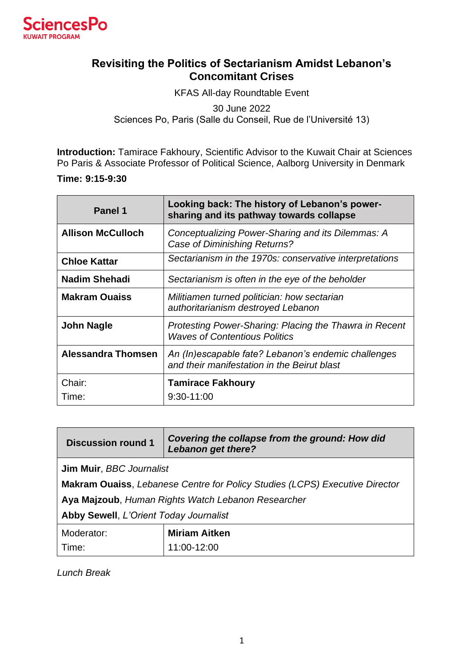

## **Revisiting the Politics of Sectarianism Amidst Lebanon's Concomitant Crises**

KFAS All-day Roundtable Event 30 June 2022 Sciences Po, Paris (Salle du Conseil, Rue de l'Université 13)

**Introduction:** Tamirace Fakhoury, Scientific Advisor to the Kuwait Chair at Sciences Po Paris & Associate Professor of Political Science, Aalborg University in Denmark

**Time: 9:15-9:30**

| Panel 1                   | Looking back: The history of Lebanon's power-<br>sharing and its pathway towards collapse          |
|---------------------------|----------------------------------------------------------------------------------------------------|
| <b>Allison McCulloch</b>  | Conceptualizing Power-Sharing and its Dilemmas: A<br>Case of Diminishing Returns?                  |
| <b>Chloe Kattar</b>       | Sectarianism in the 1970s: conservative interpretations                                            |
| <b>Nadim Shehadi</b>      | Sectarianism is often in the eye of the beholder                                                   |
| <b>Makram Ouaiss</b>      | Militiamen turned politician: how sectarian<br>authoritarianism destroyed Lebanon                  |
| <b>John Nagle</b>         | Protesting Power-Sharing: Placing the Thawra in Recent<br><b>Waves of Contentious Politics</b>     |
| <b>Alessandra Thomsen</b> | An (In)escapable fate? Lebanon's endemic challenges<br>and their manifestation in the Beirut blast |
| Chair:                    | <b>Tamirace Fakhoury</b>                                                                           |
| Time:                     | $9:30-11:00$                                                                                       |

| <b>Discussion round 1</b>                                                           | Covering the collapse from the ground: How did<br><b>Lebanon get there?</b> |
|-------------------------------------------------------------------------------------|-----------------------------------------------------------------------------|
| Jim Muir, BBC Journalist                                                            |                                                                             |
| <b>Makram Ouaiss</b> , Lebanese Centre for Policy Studies (LCPS) Executive Director |                                                                             |
| Aya Majzoub, Human Rights Watch Lebanon Researcher                                  |                                                                             |
| <b>Abby Sewell, L'Orient Today Journalist</b>                                       |                                                                             |
| Moderator:                                                                          | <b>Miriam Aitken</b>                                                        |
| Time:                                                                               | 11:00-12:00                                                                 |

*Lunch Break*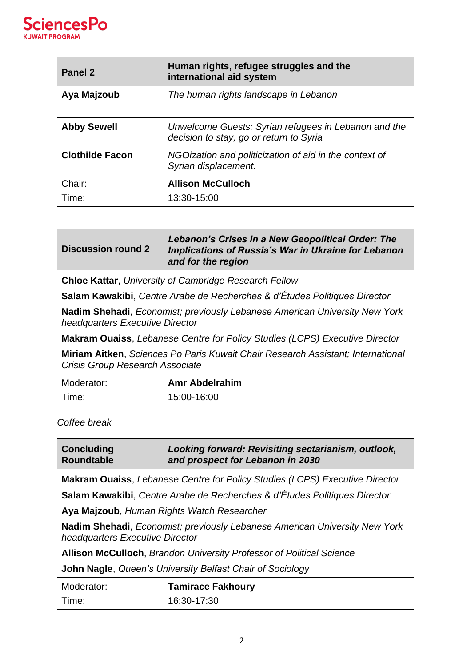

| Panel 2                | Human rights, refugee struggles and the<br>international aid system                             |
|------------------------|-------------------------------------------------------------------------------------------------|
| Aya Majzoub            | The human rights landscape in Lebanon                                                           |
| <b>Abby Sewell</b>     | Unwelcome Guests: Syrian refugees in Lebanon and the<br>decision to stay, go or return to Syria |
| <b>Clothilde Facon</b> | NGOization and politicization of aid in the context of<br>Syrian displacement.                  |
| Chair:                 | <b>Allison McCulloch</b>                                                                        |
| Time:                  | 13:30-15:00                                                                                     |

| <b>Discussion round 2</b>                                                                                          | <b>Lebanon's Crises in a New Geopolitical Order: The</b><br>Implications of Russia's War in Ukraine for Lebanon<br>and for the region |
|--------------------------------------------------------------------------------------------------------------------|---------------------------------------------------------------------------------------------------------------------------------------|
| <b>Chloe Kattar, University of Cambridge Research Fellow</b>                                                       |                                                                                                                                       |
| Salam Kawakibi, Centre Arabe de Recherches & d'Études Politiques Director                                          |                                                                                                                                       |
| Nadim Shehadi, Economist; previously Lebanese American University New York<br>headquarters Executive Director      |                                                                                                                                       |
| <b>Makram Ouaiss</b> , Lebanese Centre for Policy Studies (LCPS) Executive Director                                |                                                                                                                                       |
| Miriam Aitken, Sciences Po Paris Kuwait Chair Research Assistant; International<br>Crisis Group Research Associate |                                                                                                                                       |
| Moderator:                                                                                                         | <b>Amr Abdelrahim</b>                                                                                                                 |
| Time:                                                                                                              | 15:00-16:00                                                                                                                           |

## *Coffee break*

| <b>Concluding</b><br><b>Roundtable</b>                                                                                | Looking forward: Revisiting sectarianism, outlook,<br>and prospect for Lebanon in 2030 |
|-----------------------------------------------------------------------------------------------------------------------|----------------------------------------------------------------------------------------|
|                                                                                                                       | <b>Makram Ouaiss</b> , Lebanese Centre for Policy Studies (LCPS) Executive Director    |
| Salam Kawakibi, Centre Arabe de Recherches & d'Études Politiques Director                                             |                                                                                        |
| Aya Majzoub, Human Rights Watch Researcher                                                                            |                                                                                        |
| <b>Nadim Shehadi</b> , Economist; previously Lebanese American University New York<br>headquarters Executive Director |                                                                                        |
| <b>Allison McCulloch, Brandon University Professor of Political Science</b>                                           |                                                                                        |
| John Nagle, Queen's University Belfast Chair of Sociology                                                             |                                                                                        |
| Moderator:                                                                                                            | <b>Tamirace Fakhoury</b>                                                               |
| Time:                                                                                                                 | 16:30-17:30                                                                            |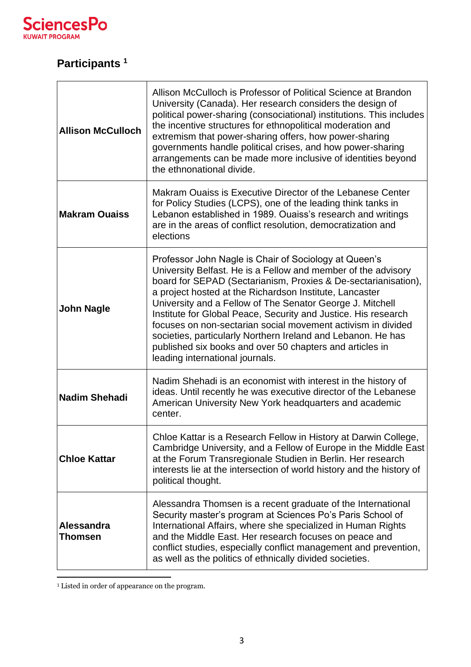

## **Participants <sup>1</sup>**

| <b>Allison McCulloch</b> | Allison McCulloch is Professor of Political Science at Brandon<br>University (Canada). Her research considers the design of<br>political power-sharing (consociational) institutions. This includes<br>the incentive structures for ethnopolitical moderation and<br>extremism that power-sharing offers, how power-sharing<br>governments handle political crises, and how power-sharing<br>arrangements can be made more inclusive of identities beyond<br>the ethnonational divide.                                                                                                                            |
|--------------------------|-------------------------------------------------------------------------------------------------------------------------------------------------------------------------------------------------------------------------------------------------------------------------------------------------------------------------------------------------------------------------------------------------------------------------------------------------------------------------------------------------------------------------------------------------------------------------------------------------------------------|
| <b>Makram Ouaiss</b>     | Makram Ouaiss is Executive Director of the Lebanese Center<br>for Policy Studies (LCPS), one of the leading think tanks in<br>Lebanon established in 1989. Ouaiss's research and writings<br>are in the areas of conflict resolution, democratization and<br>elections                                                                                                                                                                                                                                                                                                                                            |
| <b>John Nagle</b>        | Professor John Nagle is Chair of Sociology at Queen's<br>University Belfast. He is a Fellow and member of the advisory<br>board for SEPAD (Sectarianism, Proxies & De-sectarianisation),<br>a project hosted at the Richardson Institute, Lancaster<br>University and a Fellow of The Senator George J. Mitchell<br>Institute for Global Peace, Security and Justice. His research<br>focuses on non-sectarian social movement activism in divided<br>societies, particularly Northern Ireland and Lebanon. He has<br>published six books and over 50 chapters and articles in<br>leading international journals. |
| <b>Nadim Shehadi</b>     | Nadim Shehadi is an economist with interest in the history of<br>ideas. Until recently he was executive director of the Lebanese<br>American University New York headquarters and academic<br>center.                                                                                                                                                                                                                                                                                                                                                                                                             |
| <b>Chloe Kattar</b>      | Chloe Kattar is a Research Fellow in History at Darwin College,<br>Cambridge University, and a Fellow of Europe in the Middle East<br>at the Forum Transregionale Studien in Berlin. Her research<br>interests lie at the intersection of world history and the history of<br>political thought.                                                                                                                                                                                                                                                                                                                  |
| Alessandra<br>Thomsen    | Alessandra Thomsen is a recent graduate of the International<br>Security master's program at Sciences Po's Paris School of<br>International Affairs, where she specialized in Human Rights<br>and the Middle East. Her research focuses on peace and<br>conflict studies, especially conflict management and prevention,<br>as well as the politics of ethnically divided societies.                                                                                                                                                                                                                              |

<sup>1</sup> Listed in order of appearance on the program.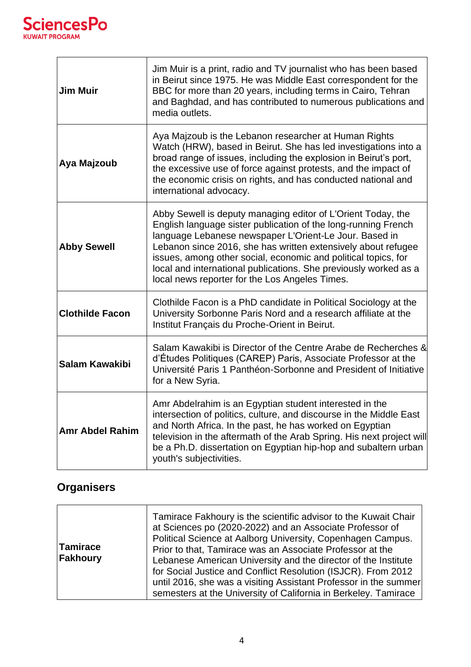

| <b>Jim Muir</b>        | Jim Muir is a print, radio and TV journalist who has been based<br>in Beirut since 1975. He was Middle East correspondent for the<br>BBC for more than 20 years, including terms in Cairo, Tehran<br>and Baghdad, and has contributed to numerous publications and<br>media outlets.                                                                                                                                                              |
|------------------------|---------------------------------------------------------------------------------------------------------------------------------------------------------------------------------------------------------------------------------------------------------------------------------------------------------------------------------------------------------------------------------------------------------------------------------------------------|
| Aya Majzoub            | Aya Majzoub is the Lebanon researcher at Human Rights<br>Watch (HRW), based in Beirut. She has led investigations into a<br>broad range of issues, including the explosion in Beirut's port,<br>the excessive use of force against protests, and the impact of<br>the economic crisis on rights, and has conducted national and<br>international advocacy.                                                                                        |
| <b>Abby Sewell</b>     | Abby Sewell is deputy managing editor of L'Orient Today, the<br>English language sister publication of the long-running French<br>language Lebanese newspaper L'Orient-Le Jour. Based in<br>Lebanon since 2016, she has written extensively about refugee<br>issues, among other social, economic and political topics, for<br>local and international publications. She previously worked as a<br>local news reporter for the Los Angeles Times. |
| <b>Clothilde Facon</b> | Clothilde Facon is a PhD candidate in Political Sociology at the<br>University Sorbonne Paris Nord and a research affiliate at the<br>Institut Français du Proche-Orient in Beirut.                                                                                                                                                                                                                                                               |
| Salam Kawakibi         | Salam Kawakibi is Director of the Centre Arabe de Recherches &<br>d'Études Politiques (CAREP) Paris, Associate Professor at the<br>Université Paris 1 Panthéon-Sorbonne and President of Initiative<br>for a New Syria.                                                                                                                                                                                                                           |
| <b>Amr Abdel Rahim</b> | Amr Abdelrahim is an Egyptian student interested in the<br>intersection of politics, culture, and discourse in the Middle East<br>and North Africa. In the past, he has worked on Egyptian<br>television in the aftermath of the Arab Spring. His next project will<br>be a Ph.D. dissertation on Egyptian hip-hop and subaltern urban<br>youth's subjectivities.                                                                                 |

## **Organisers**

| Tamirace<br>Fakhoury | Tamirace Fakhoury is the scientific advisor to the Kuwait Chair<br>at Sciences po (2020-2022) and an Associate Professor of<br>Political Science at Aalborg University, Copenhagen Campus.<br>Prior to that, Tamirace was an Associate Professor at the<br>Lebanese American University and the director of the Institute<br>for Social Justice and Conflict Resolution (ISJCR). From 2012<br>until 2016, she was a visiting Assistant Professor in the summer<br>semesters at the University of California in Berkeley. Tamirace |
|----------------------|-----------------------------------------------------------------------------------------------------------------------------------------------------------------------------------------------------------------------------------------------------------------------------------------------------------------------------------------------------------------------------------------------------------------------------------------------------------------------------------------------------------------------------------|
|----------------------|-----------------------------------------------------------------------------------------------------------------------------------------------------------------------------------------------------------------------------------------------------------------------------------------------------------------------------------------------------------------------------------------------------------------------------------------------------------------------------------------------------------------------------------|